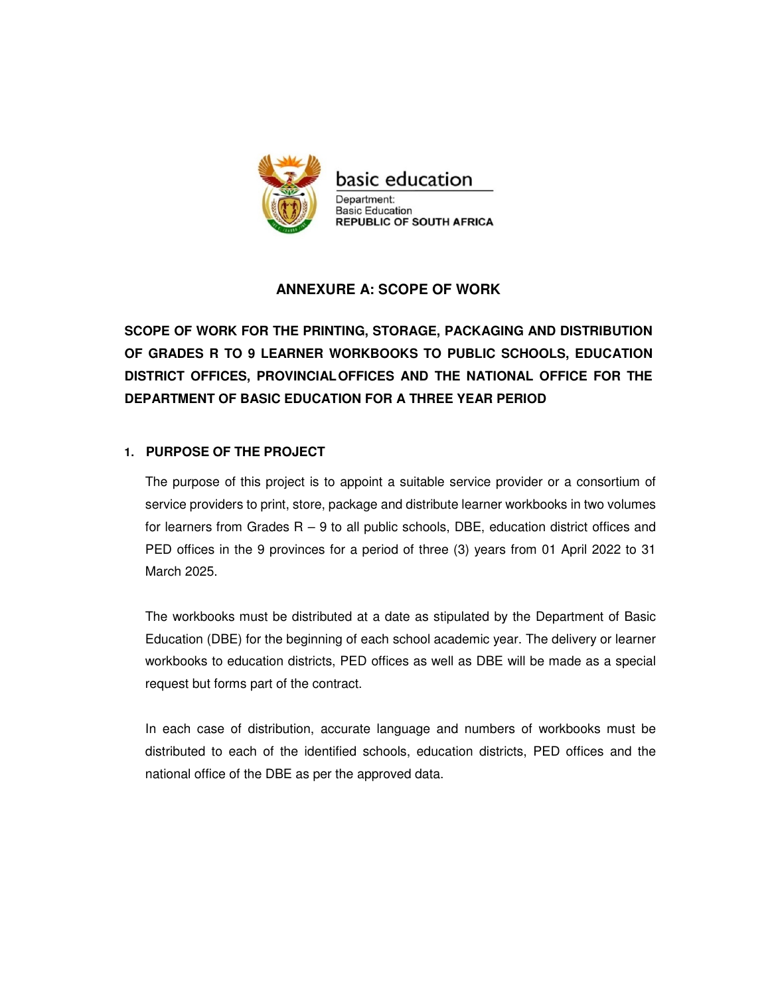

# **ANNEXURE A: SCOPE OF WORK**

**SCOPE OF WORK FOR THE PRINTING, STORAGE, PACKAGING AND DISTRIBUTION OF GRADES R TO 9 LEARNER WORKBOOKS TO PUBLIC SCHOOLS, EDUCATION DISTRICT OFFICES, PROVINCIAL OFFICES AND THE NATIONAL OFFICE FOR THE DEPARTMENT OF BASIC EDUCATION FOR A THREE YEAR PERIOD** 

### **1. PURPOSE OF THE PROJECT**

The purpose of this project is to appoint a suitable service provider or a consortium of service providers to print, store, package and distribute learner workbooks in two volumes for learners from Grades  $R - 9$  to all public schools, DBE, education district offices and PED offices in the 9 provinces for a period of three (3) years from 01 April 2022 to 31 March 2025.

The workbooks must be distributed at a date as stipulated by the Department of Basic Education (DBE) for the beginning of each school academic year. The delivery or learner workbooks to education districts, PED offices as well as DBE will be made as a special request but forms part of the contract.

In each case of distribution, accurate language and numbers of workbooks must be distributed to each of the identified schools, education districts, PED offices and the national office of the DBE as per the approved data.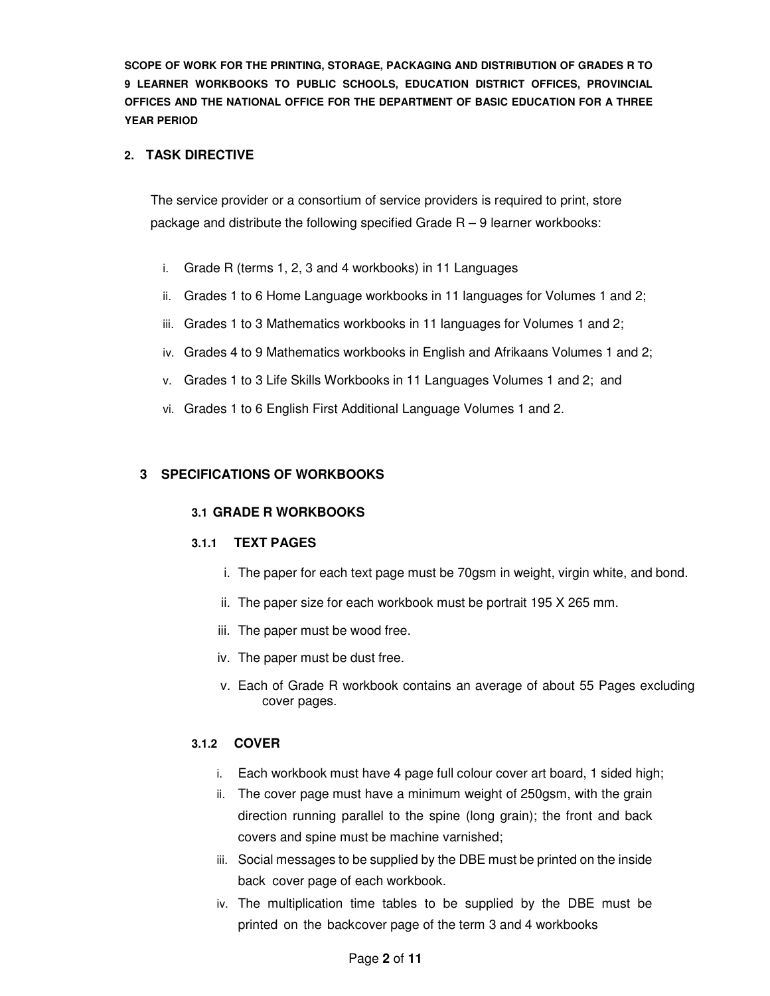# **2. TASK DIRECTIVE**

The service provider or a consortium of service providers is required to print, store package and distribute the following specified Grade  $R - 9$  learner workbooks:

- i. Grade R (terms 1, 2, 3 and 4 workbooks) in 11 Languages
- ii. Grades 1 to 6 Home Language workbooks in 11 languages for Volumes 1 and 2;
- iii. Grades 1 to 3 Mathematics workbooks in 11 languages for Volumes 1 and 2;
- iv. Grades 4 to 9 Mathematics workbooks in English and Afrikaans Volumes 1 and 2;
- v. Grades 1 to 3 Life Skills Workbooks in 11 Languages Volumes 1 and 2; and
- vi. Grades 1 to 6 English First Additional Language Volumes 1 and 2.

# **3 SPECIFICATIONS OF WORKBOOKS**

#### **3.1 GRADE R WORKBOOKS**

#### **3.1.1 TEXT PAGES**

- i. The paper for each text page must be 70gsm in weight, virgin white, and bond.
- ii. The paper size for each workbook must be portrait 195 X 265 mm.
- iii. The paper must be wood free.
- iv. The paper must be dust free.
- v. Each of Grade R workbook contains an average of about 55 Pages excluding cover pages.

#### **3.1.2 COVER**

- i. Each workbook must have 4 page full colour cover art board, 1 sided high;
- ii. The cover page must have a minimum weight of 250gsm, with the grain direction running parallel to the spine (long grain); the front and back covers and spine must be machine varnished;
- iii. Social messages to be supplied by the DBE must be printed on the inside back cover page of each workbook.
- iv. The multiplication time tables to be supplied by the DBE must be printed on the back cover page of the term 3 and 4 workbooks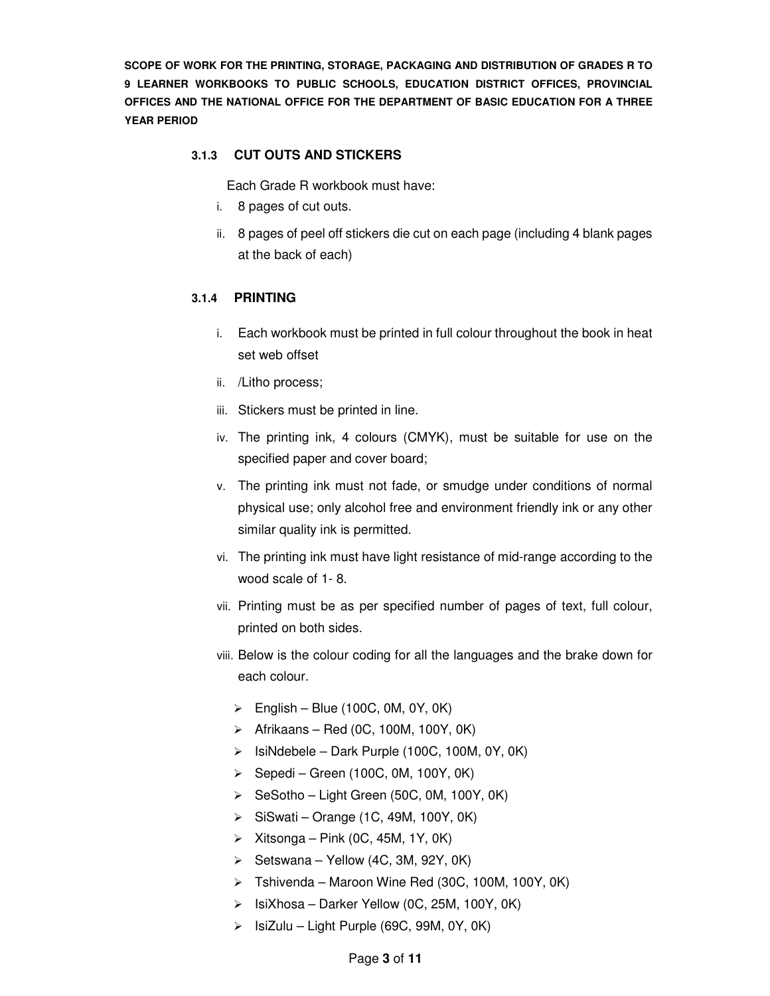# **3.1.3 CUT OUTS AND STICKERS**

Each Grade R workbook must have:

- i. 8 pages of cut outs.
- ii. 8 pages of peel off stickers die cut on each page (including 4 blank pages at the back of each)

### **3.1.4 PRINTING**

- i. Each workbook must be printed in full colour throughout the book in heat set web offset
- ii. /Litho process;
- iii. Stickers must be printed in line.
- iv. The printing ink, 4 colours (CMYK), must be suitable for use on the specified paper and cover board;
- v. The printing ink must not fade, or smudge under conditions of normal physical use; only alcohol free and environment friendly ink or any other similar quality ink is permitted.
- vi. The printing ink must have light resistance of mid-range according to the wood scale of 1- 8.
- vii. Printing must be as per specified number of pages of text, full colour, printed on both sides.
- viii. Below is the colour coding for all the languages and the brake down for each colour.
	- $\triangleright$  English Blue (100C, 0M, 0Y, 0K)
	- $\triangleright$  Afrikaans Red (0C, 100M, 100Y, 0K)
	- $\triangleright$  IsiNdebele Dark Purple (100C, 100M, 0Y, 0K)
	- $\triangleright$  Sepedi Green (100C, 0M, 100Y, 0K)
	- $\triangleright$  SeSotho Light Green (50C, 0M, 100Y, 0K)
	- $\triangleright$  SiSwati Orange (1C, 49M, 100Y, 0K)
	- $\triangleright$  Xitsonga Pink (0C, 45M, 1Y, 0K)
	- $\triangleright$  Setswana Yellow (4C, 3M, 92Y, 0K)
	- $\triangleright$  Tshivenda Maroon Wine Red (30C, 100M, 100Y, 0K)
	- $\triangleright$  IsiXhosa Darker Yellow (0C, 25M, 100Y, 0K)
	- $\triangleright$  IsiZulu Light Purple (69C, 99M, 0Y, 0K)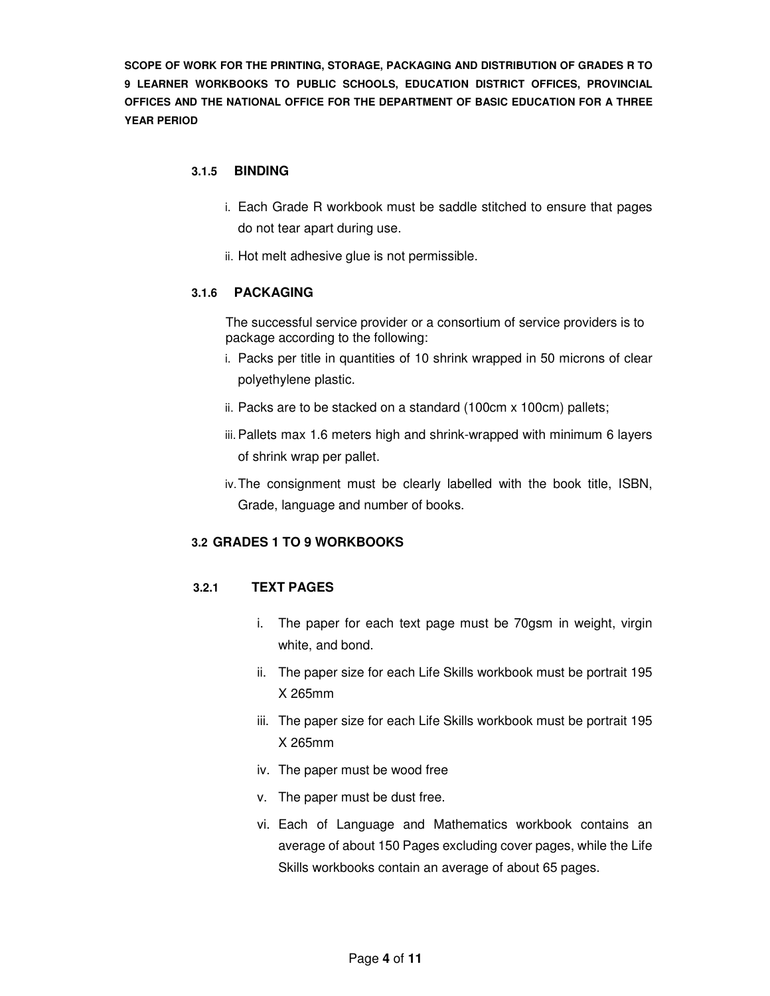#### **3.1.5 BINDING**

- i. Each Grade R workbook must be saddle stitched to ensure that pages do not tear apart during use.
- ii. Hot melt adhesive glue is not permissible.

### **3.1.6 PACKAGING**

The successful service provider or a consortium of service providers is to package according to the following:

- i. Packs per title in quantities of 10 shrink wrapped in 50 microns of clear polyethylene plastic.
- ii. Packs are to be stacked on a standard (100cm x 100cm) pallets;
- iii. Pallets max 1.6 meters high and shrink-wrapped with minimum 6 layers of shrink wrap per pallet.
- iv. The consignment must be clearly labelled with the book title, ISBN, Grade, language and number of books.

# **3.2 GRADES 1 TO 9 WORKBOOKS**

# **3.2.1 TEXT PAGES**

- i. The paper for each text page must be 70gsm in weight, virgin white, and bond.
- ii. The paper size for each Life Skills workbook must be portrait 195 X 265mm
- iii. The paper size for each Life Skills workbook must be portrait 195 X 265mm
- iv. The paper must be wood free
- v. The paper must be dust free.
- vi. Each of Language and Mathematics workbook contains an average of about 150 Pages excluding cover pages, while the Life Skills workbooks contain an average of about 65 pages.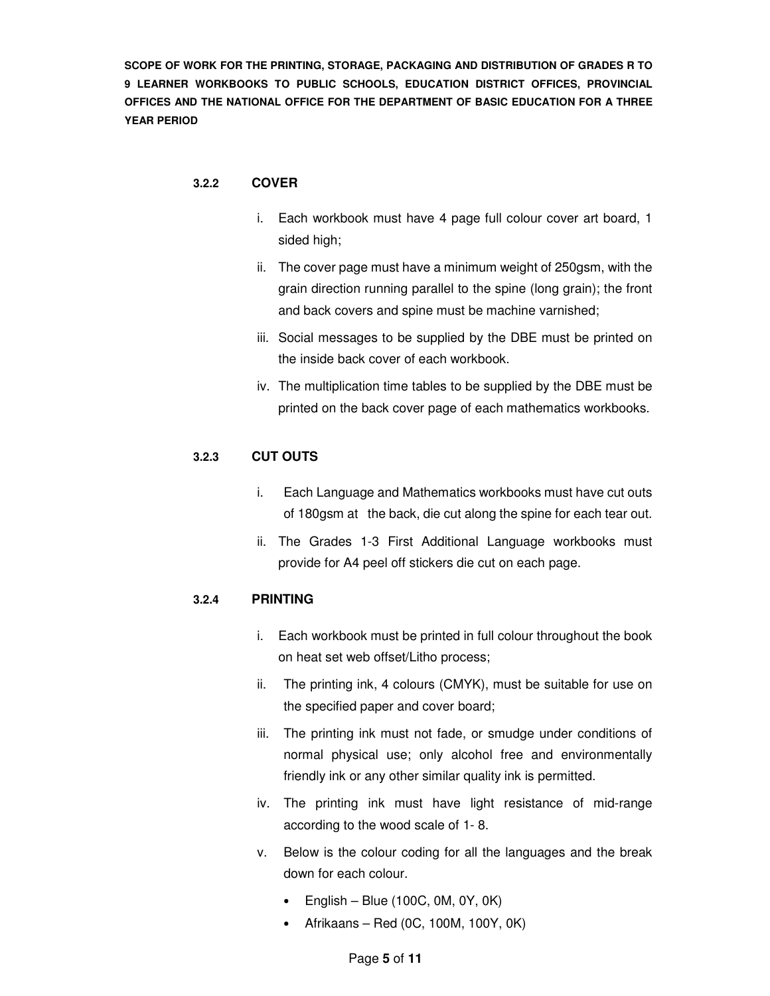#### **3.2.2 COVER**

- i. Each workbook must have 4 page full colour cover art board, 1 sided high;
- ii. The cover page must have a minimum weight of 250gsm, with the grain direction running parallel to the spine (long grain); the front and back covers and spine must be machine varnished;
- iii. Social messages to be supplied by the DBE must be printed on the inside back cover of each workbook.
- iv. The multiplication time tables to be supplied by the DBE must be printed on the back cover page of each mathematics workbooks.

### **3.2.3 CUT OUTS**

- i. Each Language and Mathematics workbooks must have cut outs of 180gsm at the back, die cut along the spine for each tear out.
- ii. The Grades 1-3 First Additional Language workbooks must provide for A4 peel off stickers die cut on each page.

#### **3.2.4 PRINTING**

- i. Each workbook must be printed in full colour throughout the book on heat set web offset/Litho process;
- ii. The printing ink, 4 colours (CMYK), must be suitable for use on the specified paper and cover board;
- iii. The printing ink must not fade, or smudge under conditions of normal physical use; only alcohol free and environmentally friendly ink or any other similar quality ink is permitted.
- iv. The printing ink must have light resistance of mid-range according to the wood scale of 1- 8.
- v. Below is the colour coding for all the languages and the break down for each colour.
	- English Blue (100C,  $OM$ ,  $OY$ ,  $OK$ )
	- Afrikaans Red (0C, 100M, 100Y, 0K)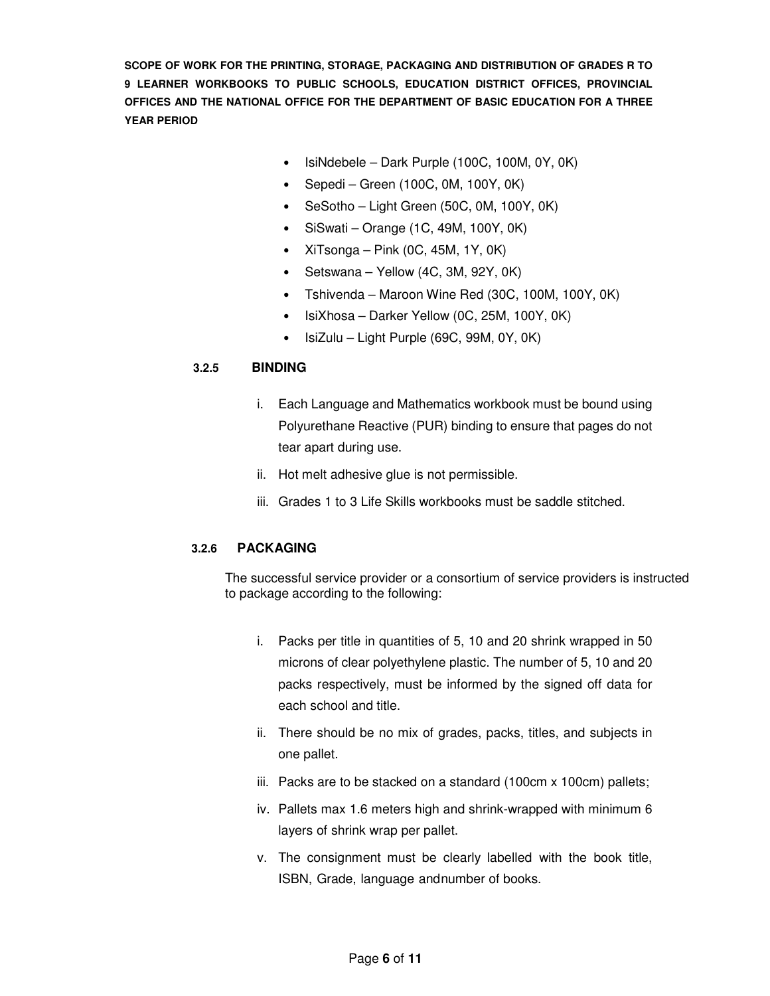- IsiNdebele Dark Purple (100C, 100M, 0Y, 0K)
- Sepedi Green (100C, 0M, 100Y, 0K)
- SeSotho Light Green (50C, 0M, 100Y, 0K)
- SiSwati Orange (1C, 49M, 100Y, 0K)
- XiTsonga Pink  $(0C, 45M, 1Y, 0K)$
- Setswana Yellow (4C, 3M, 92Y, 0K)
- Tshivenda Maroon Wine Red (30C, 100M, 100Y, 0K)
- IsiXhosa Darker Yellow (0C, 25M, 100Y, 0K)
- IsiZulu Light Purple (69C, 99M, 0Y, 0K)

### **3.2.5 BINDING**

- i. Each Language and Mathematics workbook must be bound using Polyurethane Reactive (PUR) binding to ensure that pages do not tear apart during use.
- ii. Hot melt adhesive glue is not permissible.
- iii. Grades 1 to 3 Life Skills workbooks must be saddle stitched.

# **3.2.6 PACKAGING**

The successful service provider or a consortium of service providers is instructed to package according to the following:

- i. Packs per title in quantities of 5, 10 and 20 shrink wrapped in 50 microns of clear polyethylene plastic. The number of 5, 10 and 20 packs respectively, must be informed by the signed off data for each school and title.
- ii. There should be no mix of grades, packs, titles, and subjects in one pallet.
- iii. Packs are to be stacked on a standard (100cm x 100cm) pallets;
- iv. Pallets max 1.6 meters high and shrink-wrapped with minimum 6 layers of shrink wrap per pallet.
- v. The consignment must be clearly labelled with the book title, ISBN, Grade, language and number of books.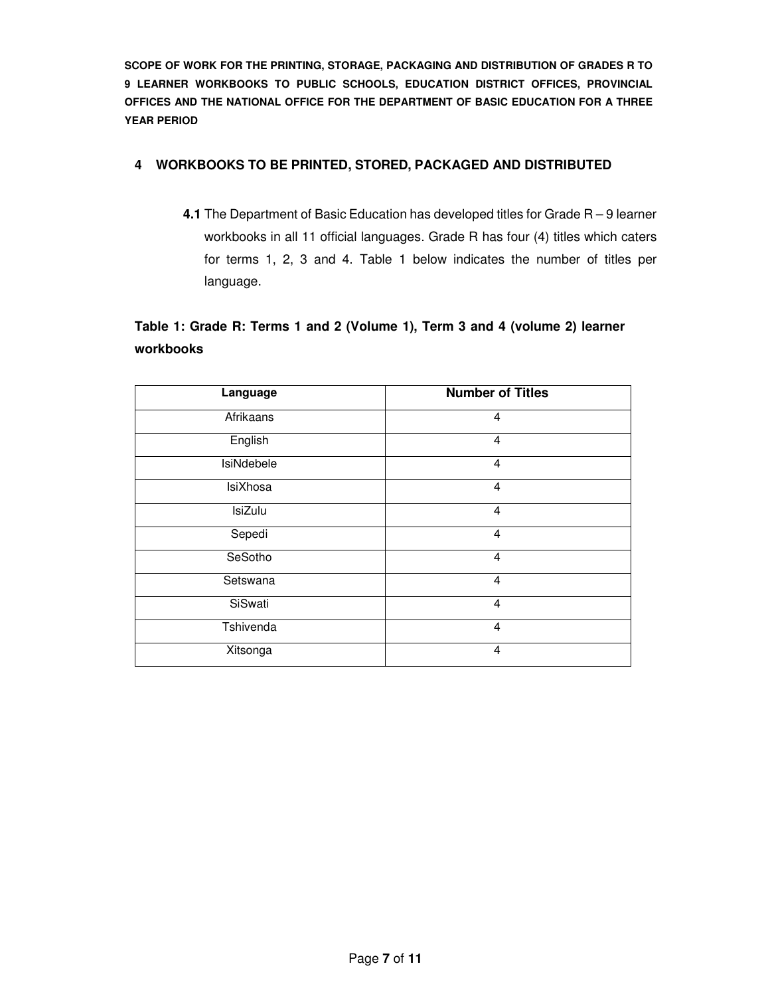# **4 WORKBOOKS TO BE PRINTED, STORED, PACKAGED AND DISTRIBUTED**

**4.1** The Department of Basic Education has developed titles for Grade R – 9 learner workbooks in all 11 official languages. Grade R has four (4) titles which caters for terms 1, 2, 3 and 4. Table 1 below indicates the number of titles per language.

# **Table 1: Grade R: Terms 1 and 2 (Volume 1), Term 3 and 4 (volume 2) learner workbooks**

| Language          | <b>Number of Titles</b> |
|-------------------|-------------------------|
| Afrikaans         | 4                       |
| English           | 4                       |
| <b>IsiNdebele</b> | $\overline{4}$          |
| IsiXhosa          | 4                       |
| <b>IsiZulu</b>    | 4                       |
| Sepedi            | 4                       |
| SeSotho           | 4                       |
| Setswana          | $\overline{4}$          |
| SiSwati           | $\overline{4}$          |
| Tshivenda         | $\overline{4}$          |
| Xitsonga          | 4                       |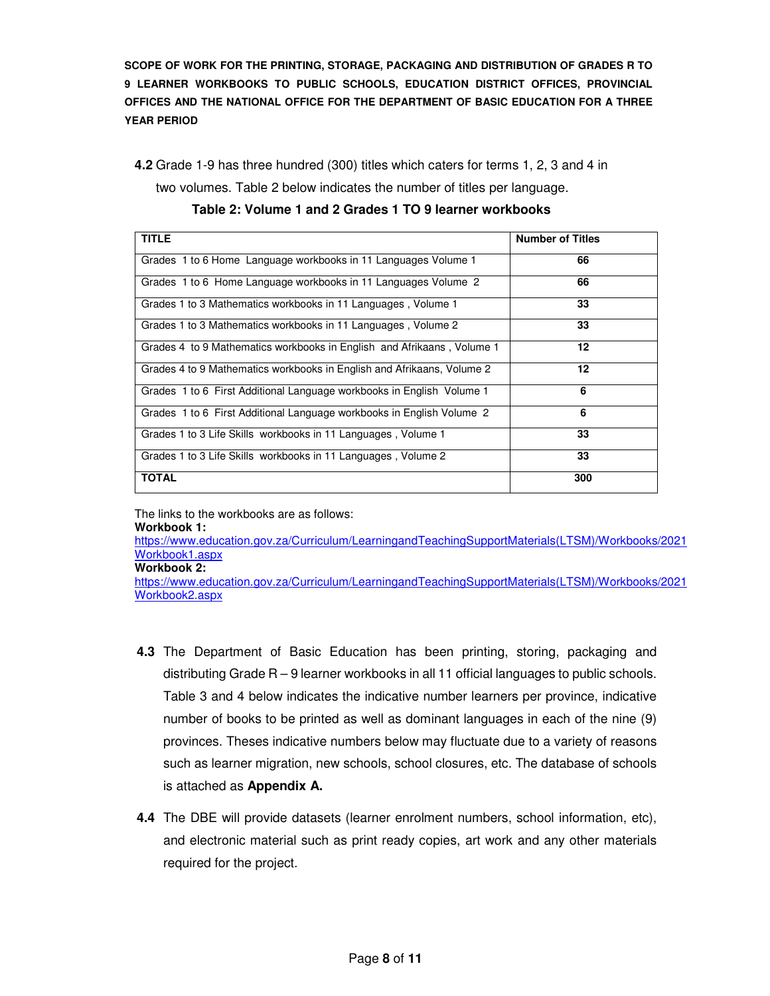**4.2** Grade 1-9 has three hundred (300) titles which caters for terms 1, 2, 3 and 4 in

two volumes. Table 2 below indicates the number of titles per language.

**TITLE Number of Titles** Grades 1 to 6 Home Language workbooks in 11 Languages Volume 1 **66** Grades 1 to 6 Home Language workbooks in 11 Languages Volume 2 **66**  Grades 1 to 3 Mathematics workbooks in 11 Languages, Volume 1 **33** Grades 1 to 3 Mathematics workbooks in 11 Languages , Volume 2 **33**  Grades 4 to 9 Mathematics workbooks in English and Afrikaans , Volume 1 **12**  Grades 4 to 9 Mathematics workbooks in English and Afrikaans, Volume 2 **12**  Grades 1 to 6 First Additional Language workbooks in English Volume 1 **6**  Grades 1 to 6 First Additional Language workbooks in English Volume 2 **6**  Grades 1 to 3 Life Skills workbooks in 11 Languages , Volume 1 **33**  Grades 1 to 3 Life Skills workbooks in 11 Languages , Volume 2 **33 TOTAL 300** 



The links to the workbooks are as follows:

#### **Workbook 1:**

https://www.education.gov.za/Curriculum/LearningandTeachingSupportMaterials(LTSM)/Workbooks/2021 Workbook1.aspx

**Workbook 2:** 

https://www.education.gov.za/Curriculum/LearningandTeachingSupportMaterials(LTSM)/Workbooks/2021 Workbook2.aspx

- **4.3** The Department of Basic Education has been printing, storing, packaging and distributing Grade R – 9 learner workbooks in all 11 official languages to public schools. Table 3 and 4 below indicates the indicative number learners per province, indicative number of books to be printed as well as dominant languages in each of the nine (9) provinces. Theses indicative numbers below may fluctuate due to a variety of reasons such as learner migration, new schools, school closures, etc. The database of schools is attached as **Appendix A.**
- **4.4** The DBE will provide datasets (learner enrolment numbers, school information, etc), and electronic material such as print ready copies, art work and any other materials required for the project.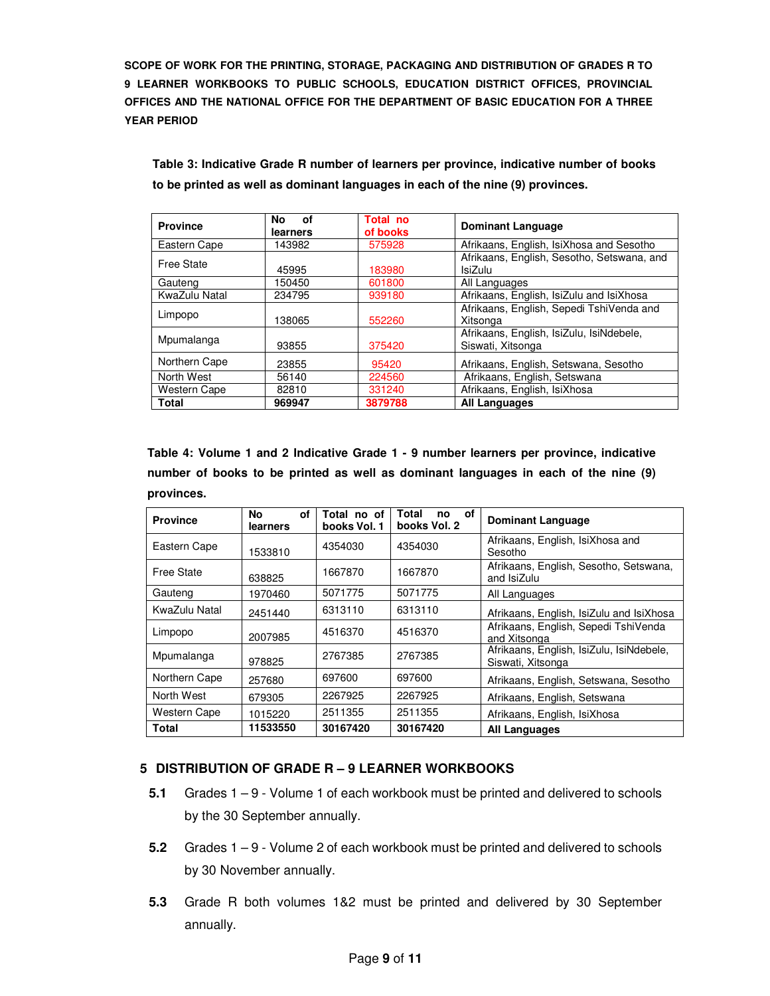**Table 3: Indicative Grade R number of learners per province, indicative number of books to be printed as well as dominant languages in each of the nine (9) provinces.** 

| <b>Province</b>     | No.<br>οf<br>learners | Total no<br>of books                               | <b>Dominant Language</b>                   |  |
|---------------------|-----------------------|----------------------------------------------------|--------------------------------------------|--|
| Eastern Cape        | 143982                | Afrikaans, English, IsiXhosa and Sesotho<br>575928 |                                            |  |
| <b>Free State</b>   |                       |                                                    | Afrikaans, English, Sesotho, Setswana, and |  |
|                     | 45995                 | 183980                                             | <b>IsiZulu</b>                             |  |
| Gauteng             | 150450                | 601800                                             | All Languages                              |  |
| KwaZulu Natal       | 234795                | 939180                                             | Afrikaans, English, IsiZulu and IsiXhosa   |  |
| Limpopo             |                       |                                                    | Afrikaans, English, Sepedi TshiVenda and   |  |
|                     | 138065                | 552260                                             | Xitsonga                                   |  |
| Mpumalanga          |                       |                                                    | Afrikaans, English, IsiZulu, IsiNdebele,   |  |
|                     | 93855                 | 375420                                             | Siswati, Xitsonga                          |  |
| Northern Cape       | 23855                 | 95420                                              | Afrikaans, English, Setswana, Sesotho      |  |
| North West          | 56140                 | 224560                                             | Afrikaans, English, Setswana               |  |
| <b>Western Cape</b> | 82810                 | 331240                                             | Afrikaans, English, IsiXhosa               |  |
| Total               | 969947                | 3879788                                            | <b>All Languages</b>                       |  |

**Table 4: Volume 1 and 2 Indicative Grade 1 - 9 number learners per province, indicative number of books to be printed as well as dominant languages in each of the nine (9) provinces.** 

| <b>Province</b>     | No<br>οf<br>learners | Total no of<br>books Vol. 1 | Total<br>οf<br>no<br>books Vol. 2 | <b>Dominant Language</b>                                      |
|---------------------|----------------------|-----------------------------|-----------------------------------|---------------------------------------------------------------|
| Eastern Cape        | 1533810              | 4354030                     | 4354030                           | Afrikaans, English, IsiXhosa and<br>Sesotho                   |
| <b>Free State</b>   | 638825               | 1667870                     | 1667870                           | Afrikaans, English, Sesotho, Setswana,<br>and IsiZulu         |
| Gauteng             | 1970460              | 5071775                     | 5071775                           | All Languages                                                 |
| KwaZulu Natal       | 2451440              | 6313110                     | 6313110                           | Afrikaans, English, IsiZulu and IsiXhosa                      |
| Limpopo             | 2007985              | 4516370                     | 4516370                           | Afrikaans, English, Sepedi TshiVenda<br>and Xitsonga          |
| Mpumalanga          | 978825               | 2767385                     | 2767385                           | Afrikaans, English, IsiZulu, IsiNdebele,<br>Siswati, Xitsonga |
| Northern Cape       | 257680               | 697600                      | 697600                            | Afrikaans, English, Setswana, Sesotho                         |
| North West          | 679305               | 2267925                     | 2267925                           | Afrikaans, English, Setswana                                  |
| <b>Western Cape</b> | 1015220              | 2511355                     | 2511355                           | Afrikaans, English, IsiXhosa                                  |
| Total               | 11533550             | 30167420                    | 30167420                          | All Languages                                                 |

# **5 DISTRIBUTION OF GRADE R – 9 LEARNER WORKBOOKS**

- **5.1** Grades 1 9 Volume 1 of each workbook must be printed and delivered to schools by the 30 September annually.
- **5.2** Grades 1 9 Volume 2 of each workbook must be printed and delivered to schools by 30 November annually.
- **5.3** Grade R both volumes 1&2 must be printed and delivered by 30 September annually.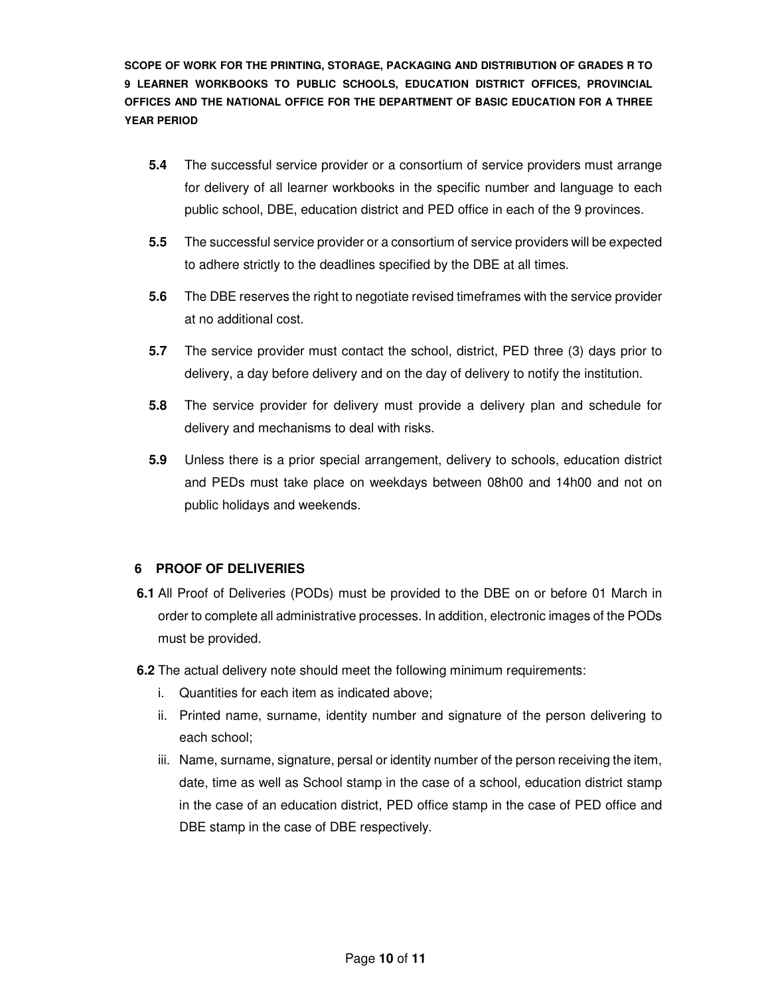- **5.4** The successful service provider or a consortium of service providers must arrange for delivery of all learner workbooks in the specific number and language to each public school, DBE, education district and PED office in each of the 9 provinces.
- **5.5** The successful service provider or a consortium of service providers will be expected to adhere strictly to the deadlines specified by the DBE at all times.
- **5.6** The DBE reserves the right to negotiate revised timeframes with the service provider at no additional cost.
- **5.7** The service provider must contact the school, district, PED three (3) days prior to delivery, a day before delivery and on the day of delivery to notify the institution.
- **5.8** The service provider for delivery must provide a delivery plan and schedule for delivery and mechanisms to deal with risks.
- **5.9** Unless there is a prior special arrangement, delivery to schools, education district and PEDs must take place on weekdays between 08h00 and 14h00 and not on public holidays and weekends.

#### **6 PROOF OF DELIVERIES**

- **6.1** All Proof of Deliveries (PODs) must be provided to the DBE on or before 01 March in order to complete all administrative processes. In addition, electronic images of the PODs must be provided.
- **6.2** The actual delivery note should meet the following minimum requirements:
	- i. Quantities for each item as indicated above;
	- ii. Printed name, surname, identity number and signature of the person delivering to each school;
	- iii. Name, surname, signature, persal or identity number of the person receiving the item, date, time as well as School stamp in the case of a school, education district stamp in the case of an education district, PED office stamp in the case of PED office and DBE stamp in the case of DBE respectively.